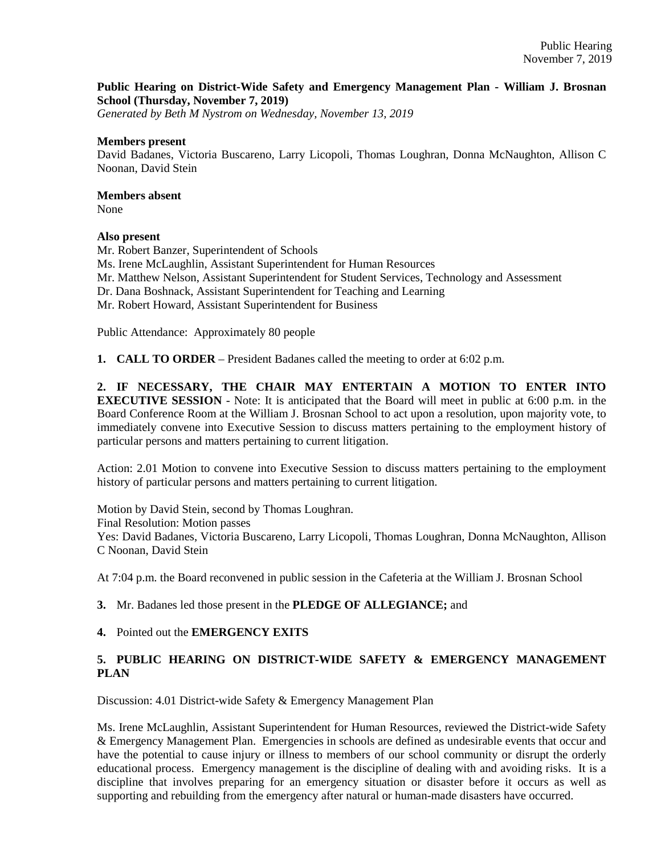## **Public Hearing on District-Wide Safety and Emergency Management Plan - William J. Brosnan School (Thursday, November 7, 2019)**

*Generated by Beth M Nystrom on Wednesday, November 13, 2019*

#### **Members present**

David Badanes, Victoria Buscareno, Larry Licopoli, Thomas Loughran, Donna McNaughton, Allison C Noonan, David Stein

## **Members absent**

None

## **Also present**

Mr. Robert Banzer, Superintendent of Schools Ms. Irene McLaughlin, Assistant Superintendent for Human Resources Mr. Matthew Nelson, Assistant Superintendent for Student Services, Technology and Assessment Dr. Dana Boshnack, Assistant Superintendent for Teaching and Learning Mr. Robert Howard, Assistant Superintendent for Business

Public Attendance: Approximately 80 people

**1. CALL TO ORDER** – President Badanes called the meeting to order at 6:02 p.m.

**2. IF NECESSARY, THE CHAIR MAY ENTERTAIN A MOTION TO ENTER INTO EXECUTIVE SESSION** - Note: It is anticipated that the Board will meet in public at 6:00 p.m. in the Board Conference Room at the William J. Brosnan School to act upon a resolution, upon majority vote, to immediately convene into Executive Session to discuss matters pertaining to the employment history of particular persons and matters pertaining to current litigation.

Action: 2.01 Motion to convene into Executive Session to discuss matters pertaining to the employment history of particular persons and matters pertaining to current litigation.

Motion by David Stein, second by Thomas Loughran. Final Resolution: Motion passes Yes: David Badanes, Victoria Buscareno, Larry Licopoli, Thomas Loughran, Donna McNaughton, Allison C Noonan, David Stein

At 7:04 p.m. the Board reconvened in public session in the Cafeteria at the William J. Brosnan School

**3.** Mr. Badanes led those present in the **PLEDGE OF ALLEGIANCE;** and

## **4.** Pointed out the **EMERGENCY EXITS**

# **5. PUBLIC HEARING ON DISTRICT-WIDE SAFETY & EMERGENCY MANAGEMENT PLAN**

Discussion: 4.01 District-wide Safety & Emergency Management Plan

Ms. Irene McLaughlin, Assistant Superintendent for Human Resources, reviewed the District-wide Safety & Emergency Management Plan. Emergencies in schools are defined as undesirable events that occur and have the potential to cause injury or illness to members of our school community or disrupt the orderly educational process. Emergency management is the discipline of dealing with and avoiding risks. It is a discipline that involves preparing for an emergency situation or disaster before it occurs as well as supporting and rebuilding from the emergency after natural or human-made disasters have occurred.